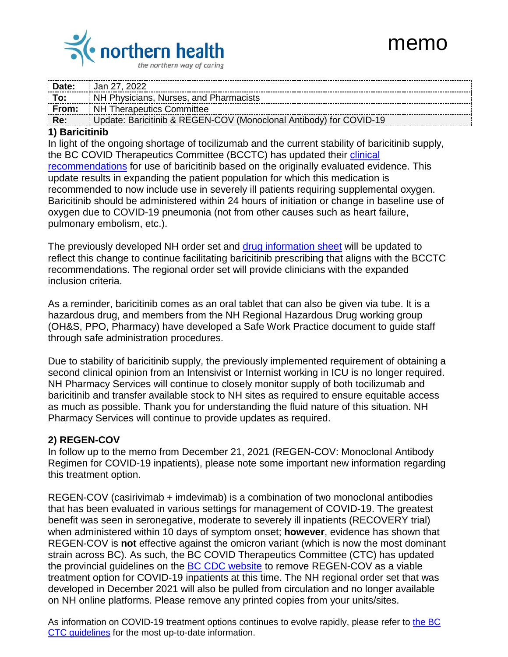

|                    | <b>Date:</b> $\frac{1}{2}$ Jan 27, 2022                            |
|--------------------|--------------------------------------------------------------------|
| $\overline{a}$ To: | NH Physicians, Nurses, and Pharmacists                             |
|                    | <b>From:</b> NH Therapeutics Committee                             |
| Re: 77             | Update: Baricitinib & REGEN-COV (Monoclonal Antibody) for COVID-19 |

## **1) Baricitinib**

In light of the ongoing shortage of tocilizumab and the current stability of baricitinib supply, the BC COVID Therapeutics Committee (BCCTC) has updated their [clinical](http://www.bccdc.ca/health-professionals/clinical-resources/covid-19-care/clinical-care/treatments)  [recommendations](http://www.bccdc.ca/health-professionals/clinical-resources/covid-19-care/clinical-care/treatments) for use of baricitinib based on the originally evaluated evidence. This update results in expanding the patient population for which this medication is recommended to now include use in severely ill patients requiring supplemental oxygen. Baricitinib should be administered within 24 hours of initiation or change in baseline use of oxygen due to COVID-19 pneumonia (not from other causes such as heart failure, pulmonary embolism, etc.).

The previously developed NH order set and [drug information sheet](https://physicians.northernhealth.ca/sites/physicians/files/physician-resources/covid-19/2022-january-baricitinib-clinician-info-sheet-update-final.pdf) will be updated to reflect this change to continue facilitating baricitinib prescribing that aligns with the BCCTC recommendations. The regional order set will provide clinicians with the expanded inclusion criteria.

As a reminder, baricitinib comes as an oral tablet that can also be given via tube. It is a hazardous drug, and members from the NH Regional Hazardous Drug working group (OH&S, PPO, Pharmacy) have developed a Safe Work Practice document to guide staff through safe administration procedures.

Due to stability of baricitinib supply, the previously implemented requirement of obtaining a second clinical opinion from an Intensivist or Internist working in ICU is no longer required. NH Pharmacy Services will continue to closely monitor supply of both tocilizumab and baricitinib and transfer available stock to NH sites as required to ensure equitable access as much as possible. Thank you for understanding the fluid nature of this situation. NH Pharmacy Services will continue to provide updates as required.

## **2) REGEN-COV**

In follow up to the memo from December 21, 2021 (REGEN-COV: Monoclonal Antibody Regimen for COVID-19 inpatients), please note some important new information regarding this treatment option.

REGEN-COV (casirivimab + imdevimab) is a combination of two monoclonal antibodies that has been evaluated in various settings for management of COVID-19. The greatest benefit was seen in seronegative, moderate to severely ill inpatients (RECOVERY trial) when administered within 10 days of symptom onset; **however**, evidence has shown that REGEN-COV is **not** effective against the omicron variant (which is now the most dominant strain across BC). As such, the BC COVID Therapeutics Committee (CTC) has updated the provincial guidelines on the [BC CDC website](http://www.bccdc.ca/health-professionals/clinical-resources/covid-19-care/clinical-care/treatments) to remove REGEN-COV as a viable treatment option for COVID-19 inpatients at this time. The NH regional order set that was developed in December 2021 will also be pulled from circulation and no longer available on NH online platforms. Please remove any printed copies from your units/sites.

As information on COVID-19 treatment options continues to evolve rapidly, please refer to [the BC](http://www.bccdc.ca/health-professionals/clinical-resources/covid-19-care/clinical-care/treatments)  [CTC guidelines](http://www.bccdc.ca/health-professionals/clinical-resources/covid-19-care/clinical-care/treatments) for the most up-to-date information.